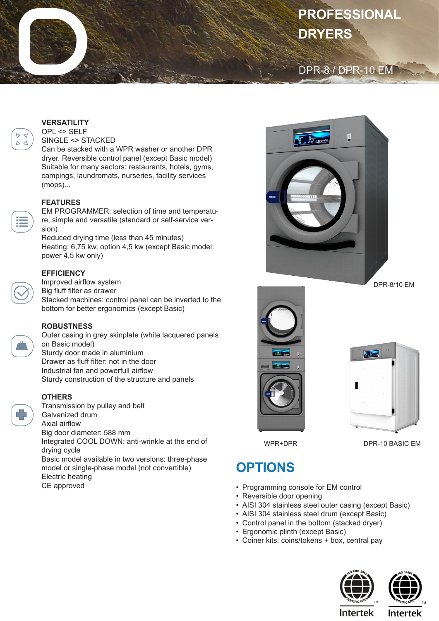# **PROFESSIONAL DRYERS**

### DPR-8 / DPR-10 EM

#### **VERSATILITY**

 $D \nvert d$ 

 $\Delta$ 

OPL <> SELF SINGLE <> STACKED

Can be stacked with a WPR washer or another DPR dryer. Reversible control panel (except Basic model) Suitable for many sectors: restaurants, hotels, gyms, campings, laundromats, nurseries, facility services (mops)...

#### **FEATURES**

EM PROGRAMMER: selection of time and temperature, simple and versatile (standard or self-service version)

Reduced drying time (less than 45 minutes) Heating: 6,75 kw, option 4,5 kw (except Basic model: power 4,5 kw only)

#### **EFFICIENCY**

Improved airflow system Big fluff filter as drawer Stacked machines: control panel can be inverted to the bottom for better ergonomics (except Basic)

#### **ROBUSTNESS**

Outer casing in grey skinplate (white lacquered panels on Basic model) Sturdy door made in aluminium Drawer as fluff filter: not in the door Industrial fan and powerfull airflow Sturdy construction of the structure and panels

#### **OTHERS**

Transmission by pulley and belt Galvanized drum Axial airflow Big door diameter: 588 mm Integrated COOL DOWN: anti-wrinkle at the end of drying cycle Basic model available in two versions: three-phase model or single-phase model (not convertible) Electric heating

CE approved



DPR-8/10 EM





WPR+DPR

DPR-10 BASIC EM

## **OPTIONS**

- Programming console for EM control
- Reversible door opening
- AISI 304 stainless steel outer casing (except Basic)
- AISI 304 stainless steel drum (except Basic)
- Control panel in the bottom (stacked dryer)
- Ergonomic plinth (except Basic)
- Coiner kits: coins/tokens + box, central pay





**Intertek** 

**Intertek**